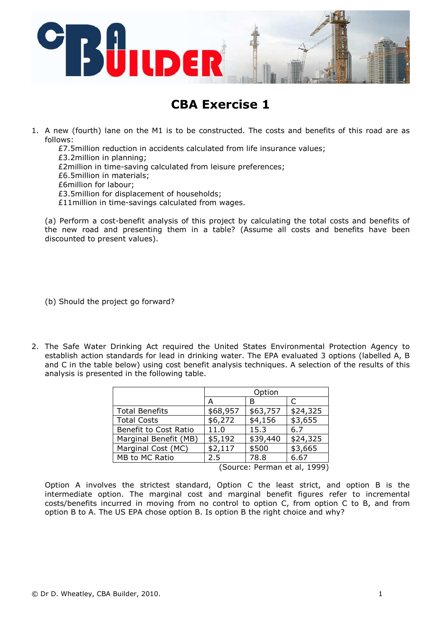

## CBA Exercise 1

- 1. A new (fourth) lane on the M1 is to be constructed. The costs and benefits of this road are as follows:
	- £7.5million reduction in accidents calculated from life insurance values;
	- £3.2million in planning;
	- £2million in time-saving calculated from leisure preferences;
	- £6.5million in materials;
	- £6million for labour;
	- £3.5million for displacement of households;
	- £11million in time-savings calculated from wages.

(a) Perform a cost-benefit analysis of this project by calculating the total costs and benefits of the new road and presenting them in a table? (Assume all costs and benefits have been discounted to present values).

(b) Should the project go forward?

2. The Safe Water Drinking Act required the United States Environmental Protection Agency to establish action standards for lead in drinking water. The EPA evaluated 3 options (labelled A, B and C in the table below) using cost benefit analysis techniques. A selection of the results of this analysis is presented in the following table.

|                               | Option   |          |          |
|-------------------------------|----------|----------|----------|
|                               | А        | в        |          |
| <b>Total Benefits</b>         | \$68,957 | \$63,757 | \$24,325 |
| <b>Total Costs</b>            | \$6,272  | \$4,156  | \$3,655  |
| Benefit to Cost Ratio         | 11.0     | 15.3     | 6.7      |
| Marginal Benefit (MB)         | \$5,192  | \$39,440 | \$24,325 |
| Marginal Cost (MC)            | \$2,117  | \$500    | \$3,665  |
| MB to MC Ratio                | 2.5      | 78.8     | 6.67     |
| (Converso: Darmonot al. 1000) |          |          |          |

(Source: Perman et al, 1999)

Option A involves the strictest standard, Option C the least strict, and option B is the intermediate option. The marginal cost and marginal benefit figures refer to incremental costs/benefits incurred in moving from no control to option C, from option C to B, and from option B to A. The US EPA chose option B. Is option B the right choice and why?